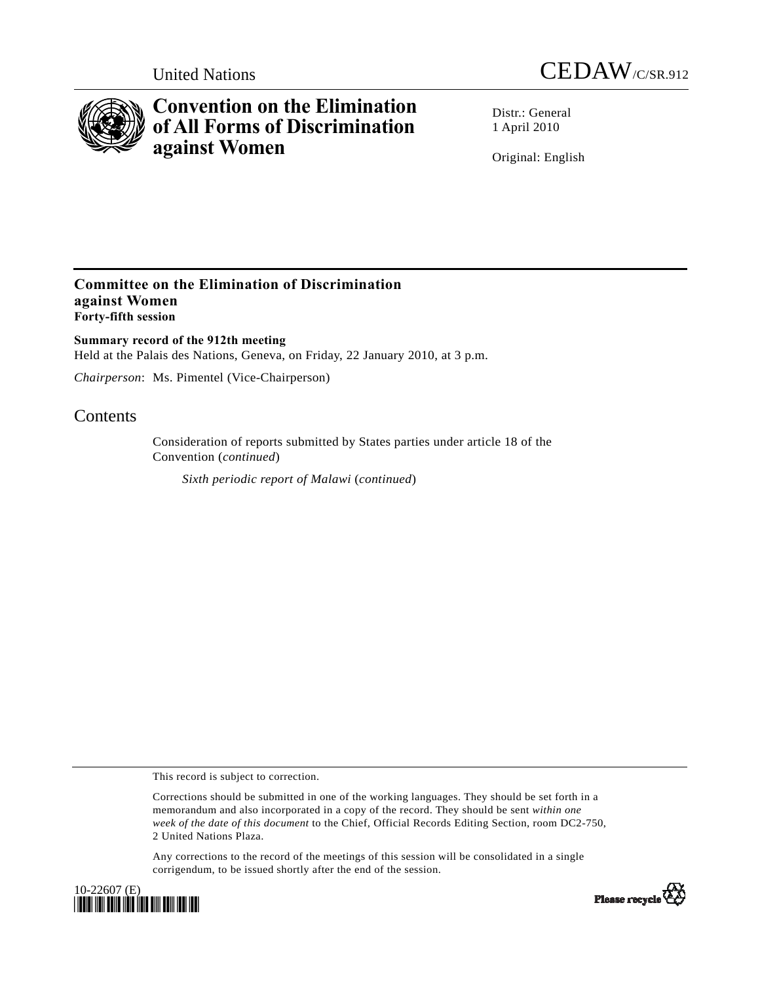



# **Convention on the Elimination of All Forms of Discrimination against Women**

Distr · General 1 April 2010

Original: English

### **Committee on the Elimination of Discrimination against Women Forty-fifth session**

**Summary record of the 912th meeting**  Held at the Palais des Nations, Geneva, on Friday, 22 January 2010, at 3 p.m.

*Chairperson*: Ms. Pimentel (Vice-Chairperson)

## **Contents**

Consideration of reports submitted by States parties under article 18 of the Convention (*continued*)

*Sixth periodic report of Malawi* (*continued*)

This record is subject to correction.

Corrections should be submitted in one of the working languages. They should be set forth in a memorandum and also incorporated in a copy of the record. They should be sent *within one week of the date of this document* to the Chief, Official Records Editing Section, room DC2-750, 2 United Nations Plaza.

Any corrections to the record of the meetings of this session will be consolidated in a single corrigendum, to be issued shortly after the end of the session.



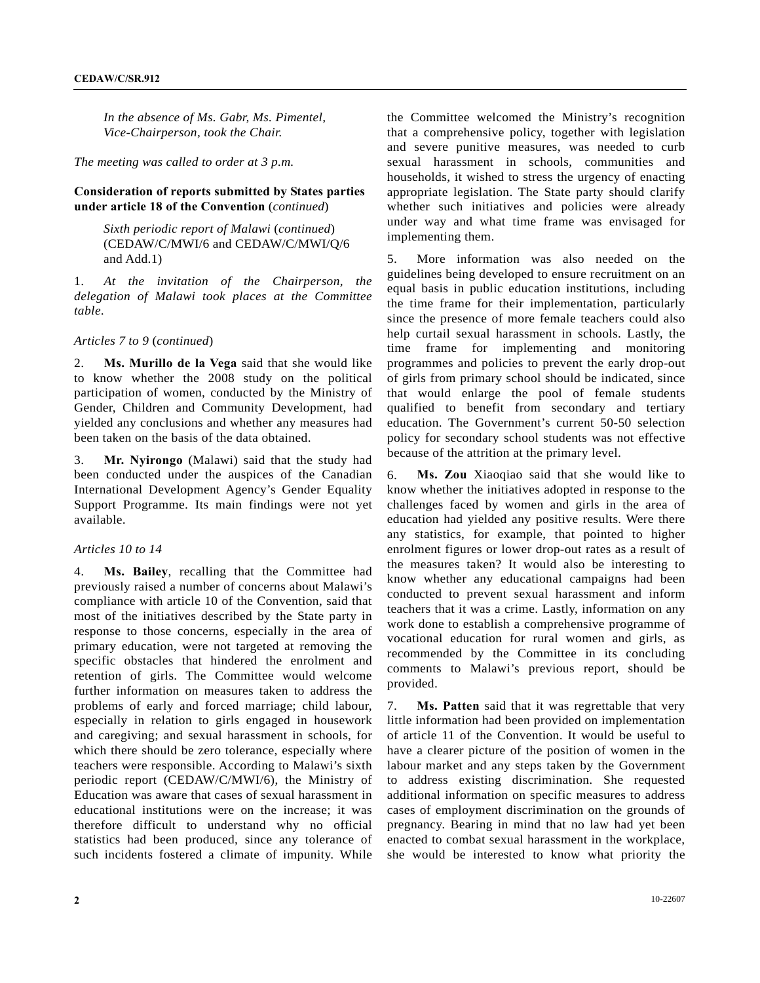*In the absence of Ms. Gabr, Ms. Pimentel, Vice-Chairperson, took the Chair.* 

#### *The meeting was called to order at 3 p.m.*

#### **Consideration of reports submitted by States parties under article 18 of the Convention** (*continued*)

 *Sixth periodic report of Malawi* (*continued*) (CEDAW/C/MWI/6 and CEDAW/C/MWI/Q/6 and Add.1)

1. *At the invitation of the Chairperson, the delegation of Malawi took places at the Committee table*.

*Articles 7 to 9* (*continued*)

2. **Ms. Murillo de la Vega** said that she would like to know whether the 2008 study on the political participation of women, conducted by the Ministry of Gender, Children and Community Development, had yielded any conclusions and whether any measures had been taken on the basis of the data obtained.

3. **Mr. Nyirongo** (Malawi) said that the study had been conducted under the auspices of the Canadian International Development Agency's Gender Equality Support Programme. Its main findings were not yet available.

#### *Articles 10 to 14*

4. **Ms. Bailey**, recalling that the Committee had previously raised a number of concerns about Malawi's compliance with article 10 of the Convention, said that most of the initiatives described by the State party in response to those concerns, especially in the area of primary education, were not targeted at removing the specific obstacles that hindered the enrolment and retention of girls. The Committee would welcome further information on measures taken to address the problems of early and forced marriage; child labour, especially in relation to girls engaged in housework and caregiving; and sexual harassment in schools, for which there should be zero tolerance, especially where teachers were responsible. According to Malawi's sixth periodic report (CEDAW/C/MWI/6), the Ministry of Education was aware that cases of sexual harassment in educational institutions were on the increase; it was therefore difficult to understand why no official statistics had been produced, since any tolerance of such incidents fostered a climate of impunity. While

the Committee welcomed the Ministry's recognition that a comprehensive policy, together with legislation and severe punitive measures, was needed to curb sexual harassment in schools, communities and households, it wished to stress the urgency of enacting appropriate legislation. The State party should clarify whether such initiatives and policies were already under way and what time frame was envisaged for implementing them.

5. More information was also needed on the guidelines being developed to ensure recruitment on an equal basis in public education institutions, including the time frame for their implementation, particularly since the presence of more female teachers could also help curtail sexual harassment in schools. Lastly, the time frame for implementing and monitoring programmes and policies to prevent the early drop-out of girls from primary school should be indicated, since that would enlarge the pool of female students qualified to benefit from secondary and tertiary education. The Government's current 50-50 selection policy for secondary school students was not effective because of the attrition at the primary level.

6. **Ms. Zou** Xiaoqiao said that she would like to know whether the initiatives adopted in response to the challenges faced by women and girls in the area of education had yielded any positive results. Were there any statistics, for example, that pointed to higher enrolment figures or lower drop-out rates as a result of the measures taken? It would also be interesting to know whether any educational campaigns had been conducted to prevent sexual harassment and inform teachers that it was a crime. Lastly, information on any work done to establish a comprehensive programme of vocational education for rural women and girls, as recommended by the Committee in its concluding comments to Malawi's previous report, should be provided.

7. **Ms. Patten** said that it was regrettable that very little information had been provided on implementation of article 11 of the Convention. It would be useful to have a clearer picture of the position of women in the labour market and any steps taken by the Government to address existing discrimination. She requested additional information on specific measures to address cases of employment discrimination on the grounds of pregnancy. Bearing in mind that no law had yet been enacted to combat sexual harassment in the workplace, she would be interested to know what priority the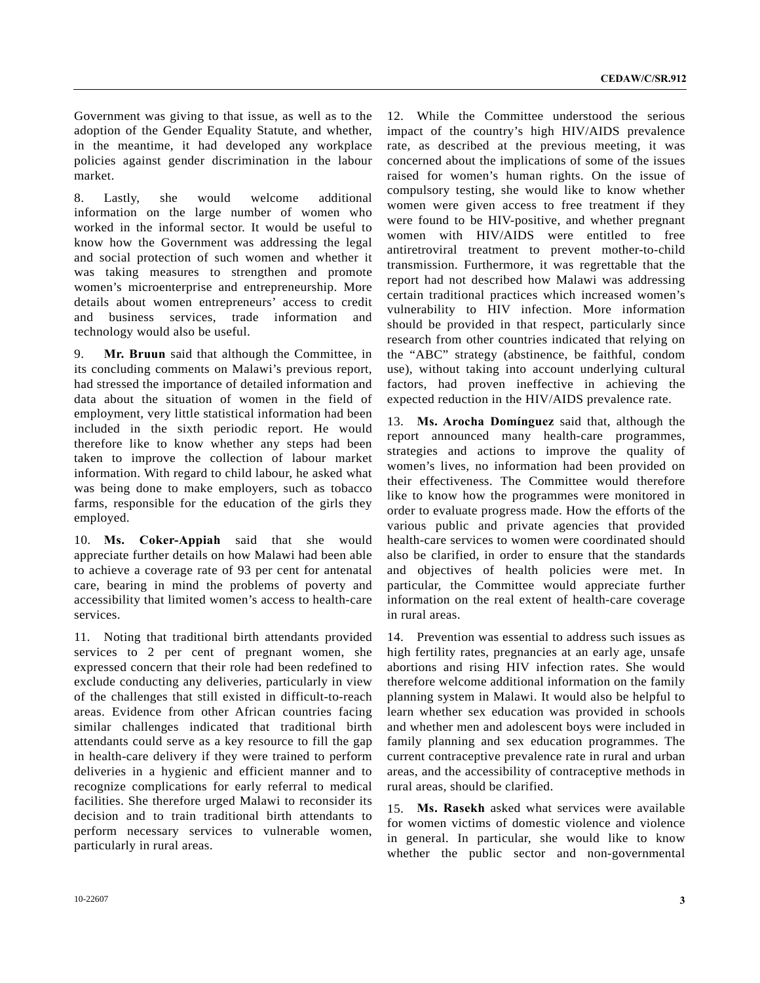Government was giving to that issue, as well as to the adoption of the Gender Equality Statute, and whether, in the meantime, it had developed any workplace policies against gender discrimination in the labour market.

8. Lastly, she would welcome additional information on the large number of women who worked in the informal sector. It would be useful to know how the Government was addressing the legal and social protection of such women and whether it was taking measures to strengthen and promote women's microenterprise and entrepreneurship. More details about women entrepreneurs' access to credit and business services, trade information and technology would also be useful.

9. **Mr. Bruun** said that although the Committee, in its concluding comments on Malawi's previous report, had stressed the importance of detailed information and data about the situation of women in the field of employment, very little statistical information had been included in the sixth periodic report. He would therefore like to know whether any steps had been taken to improve the collection of labour market information. With regard to child labour, he asked what was being done to make employers, such as tobacco farms, responsible for the education of the girls they employed.

10. **Ms. Coker-Appiah** said that she would appreciate further details on how Malawi had been able to achieve a coverage rate of 93 per cent for antenatal care, bearing in mind the problems of poverty and accessibility that limited women's access to health-care services.

11. Noting that traditional birth attendants provided services to 2 per cent of pregnant women, she expressed concern that their role had been redefined to exclude conducting any deliveries, particularly in view of the challenges that still existed in difficult-to-reach areas. Evidence from other African countries facing similar challenges indicated that traditional birth attendants could serve as a key resource to fill the gap in health-care delivery if they were trained to perform deliveries in a hygienic and efficient manner and to recognize complications for early referral to medical facilities. She therefore urged Malawi to reconsider its decision and to train traditional birth attendants to perform necessary services to vulnerable women, particularly in rural areas.

12. While the Committee understood the serious impact of the country's high HIV/AIDS prevalence rate, as described at the previous meeting, it was concerned about the implications of some of the issues raised for women's human rights. On the issue of compulsory testing, she would like to know whether women were given access to free treatment if they were found to be HIV-positive, and whether pregnant women with HIV/AIDS were entitled to free antiretroviral treatment to prevent mother-to-child transmission. Furthermore, it was regrettable that the report had not described how Malawi was addressing certain traditional practices which increased women's vulnerability to HIV infection. More information should be provided in that respect, particularly since research from other countries indicated that relying on the "ABC" strategy (abstinence, be faithful, condom use), without taking into account underlying cultural factors, had proven ineffective in achieving the expected reduction in the HIV/AIDS prevalence rate.

13. **Ms. Arocha Domínguez** said that, although the report announced many health-care programmes, strategies and actions to improve the quality of women's lives, no information had been provided on their effectiveness. The Committee would therefore like to know how the programmes were monitored in order to evaluate progress made. How the efforts of the various public and private agencies that provided health-care services to women were coordinated should also be clarified, in order to ensure that the standards and objectives of health policies were met. In particular, the Committee would appreciate further information on the real extent of health-care coverage in rural areas.

14. Prevention was essential to address such issues as high fertility rates, pregnancies at an early age, unsafe abortions and rising HIV infection rates. She would therefore welcome additional information on the family planning system in Malawi. It would also be helpful to learn whether sex education was provided in schools and whether men and adolescent boys were included in family planning and sex education programmes. The current contraceptive prevalence rate in rural and urban areas, and the accessibility of contraceptive methods in rural areas, should be clarified.

15. **Ms. Rasekh** asked what services were available for women victims of domestic violence and violence in general. In particular, she would like to know whether the public sector and non-governmental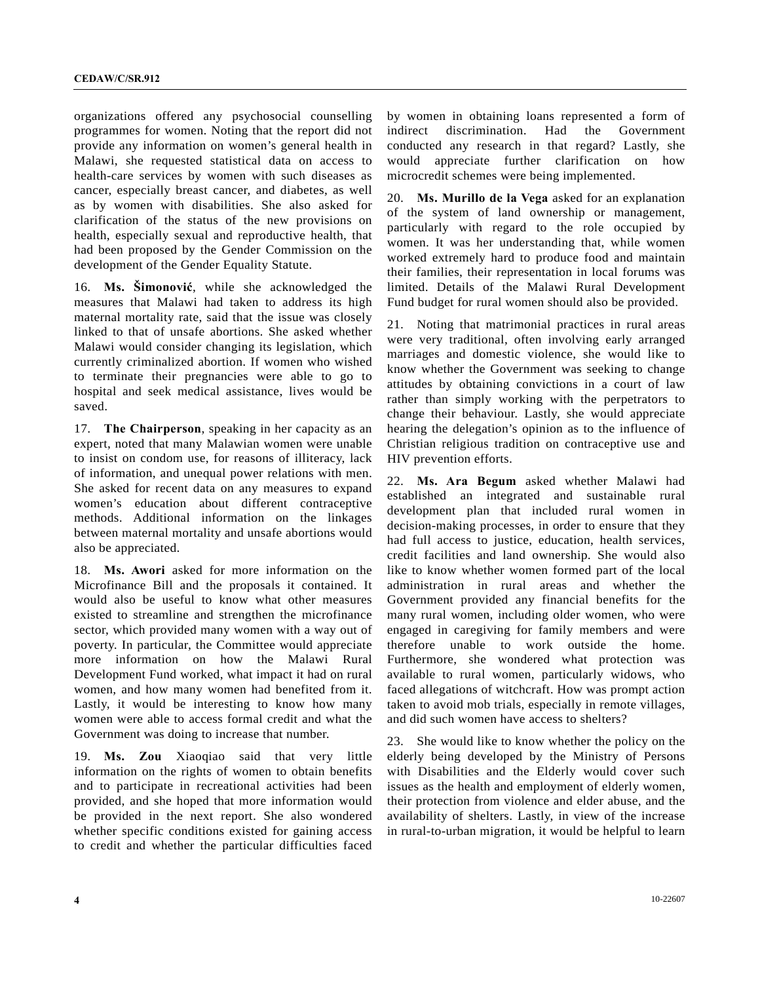organizations offered any psychosocial counselling programmes for women. Noting that the report did not provide any information on women's general health in Malawi, she requested statistical data on access to health-care services by women with such diseases as cancer, especially breast cancer, and diabetes, as well as by women with disabilities. She also asked for clarification of the status of the new provisions on health, especially sexual and reproductive health, that had been proposed by the Gender Commission on the development of the Gender Equality Statute.

16. **Ms. Šimonović**, while she acknowledged the measures that Malawi had taken to address its high maternal mortality rate, said that the issue was closely linked to that of unsafe abortions. She asked whether Malawi would consider changing its legislation, which currently criminalized abortion. If women who wished to terminate their pregnancies were able to go to hospital and seek medical assistance, lives would be saved.

17. **The Chairperson**, speaking in her capacity as an expert, noted that many Malawian women were unable to insist on condom use, for reasons of illiteracy, lack of information, and unequal power relations with men. She asked for recent data on any measures to expand women's education about different contraceptive methods. Additional information on the linkages between maternal mortality and unsafe abortions would also be appreciated.

18. **Ms. Awori** asked for more information on the Microfinance Bill and the proposals it contained. It would also be useful to know what other measures existed to streamline and strengthen the microfinance sector, which provided many women with a way out of poverty. In particular, the Committee would appreciate more information on how the Malawi Rural Development Fund worked, what impact it had on rural women, and how many women had benefited from it. Lastly, it would be interesting to know how many women were able to access formal credit and what the Government was doing to increase that number.

19. **Ms. Zou** Xiaoqiao said that very little information on the rights of women to obtain benefits and to participate in recreational activities had been provided, and she hoped that more information would be provided in the next report. She also wondered whether specific conditions existed for gaining access to credit and whether the particular difficulties faced

by women in obtaining loans represented a form of indirect discrimination. Had the Government conducted any research in that regard? Lastly, she would appreciate further clarification on how microcredit schemes were being implemented.

20. **Ms. Murillo de la Vega** asked for an explanation of the system of land ownership or management, particularly with regard to the role occupied by women. It was her understanding that, while women worked extremely hard to produce food and maintain their families, their representation in local forums was limited. Details of the Malawi Rural Development Fund budget for rural women should also be provided.

21. Noting that matrimonial practices in rural areas were very traditional, often involving early arranged marriages and domestic violence, she would like to know whether the Government was seeking to change attitudes by obtaining convictions in a court of law rather than simply working with the perpetrators to change their behaviour. Lastly, she would appreciate hearing the delegation's opinion as to the influence of Christian religious tradition on contraceptive use and HIV prevention efforts.

22. **Ms. Ara Begum** asked whether Malawi had established an integrated and sustainable rural development plan that included rural women in decision-making processes, in order to ensure that they had full access to justice, education, health services, credit facilities and land ownership. She would also like to know whether women formed part of the local administration in rural areas and whether the Government provided any financial benefits for the many rural women, including older women, who were engaged in caregiving for family members and were therefore unable to work outside the home. Furthermore, she wondered what protection was available to rural women, particularly widows, who faced allegations of witchcraft. How was prompt action taken to avoid mob trials, especially in remote villages, and did such women have access to shelters?

23. She would like to know whether the policy on the elderly being developed by the Ministry of Persons with Disabilities and the Elderly would cover such issues as the health and employment of elderly women, their protection from violence and elder abuse, and the availability of shelters. Lastly, in view of the increase in rural-to-urban migration, it would be helpful to learn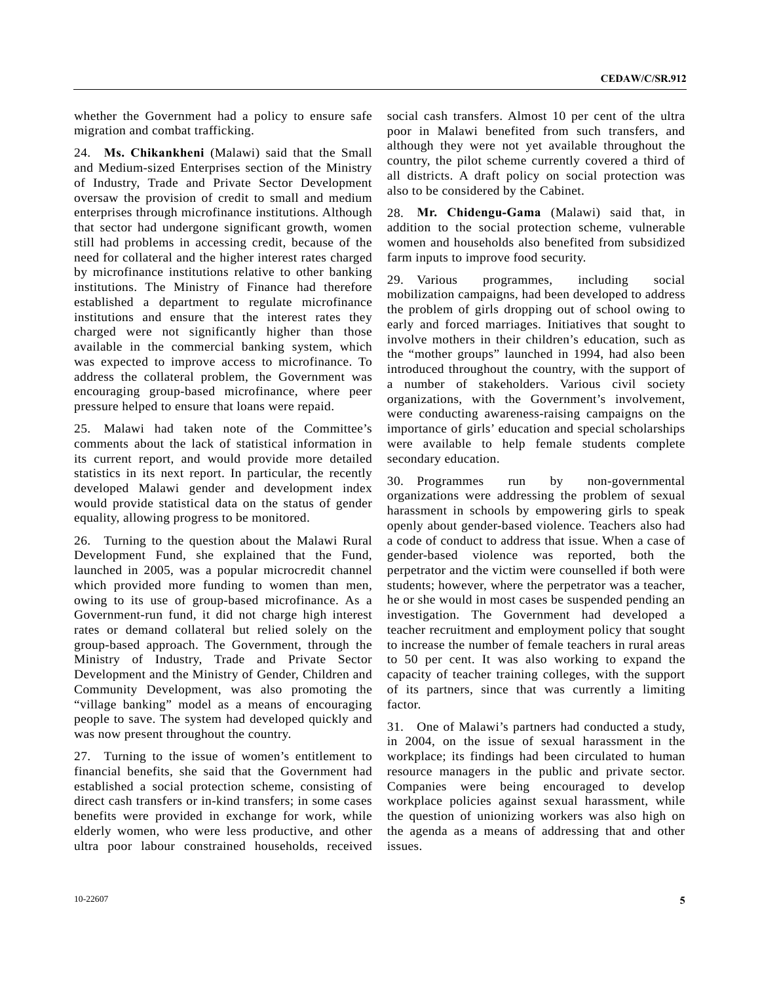whether the Government had a policy to ensure safe migration and combat trafficking.

24. **Ms. Chikankheni** (Malawi) said that the Small and Medium-sized Enterprises section of the Ministry of Industry, Trade and Private Sector Development oversaw the provision of credit to small and medium enterprises through microfinance institutions. Although that sector had undergone significant growth, women still had problems in accessing credit, because of the need for collateral and the higher interest rates charged by microfinance institutions relative to other banking institutions. The Ministry of Finance had therefore established a department to regulate microfinance institutions and ensure that the interest rates they charged were not significantly higher than those available in the commercial banking system, which was expected to improve access to microfinance. To address the collateral problem, the Government was encouraging group-based microfinance, where peer pressure helped to ensure that loans were repaid.

25. Malawi had taken note of the Committee's comments about the lack of statistical information in its current report, and would provide more detailed statistics in its next report. In particular, the recently developed Malawi gender and development index would provide statistical data on the status of gender equality, allowing progress to be monitored.

26. Turning to the question about the Malawi Rural Development Fund, she explained that the Fund, launched in 2005, was a popular microcredit channel which provided more funding to women than men, owing to its use of group-based microfinance. As a Government-run fund, it did not charge high interest rates or demand collateral but relied solely on the group-based approach. The Government, through the Ministry of Industry, Trade and Private Sector Development and the Ministry of Gender, Children and Community Development, was also promoting the "village banking" model as a means of encouraging people to save. The system had developed quickly and was now present throughout the country.

27. Turning to the issue of women's entitlement to financial benefits, she said that the Government had established a social protection scheme, consisting of direct cash transfers or in-kind transfers; in some cases benefits were provided in exchange for work, while elderly women, who were less productive, and other ultra poor labour constrained households, received

social cash transfers. Almost 10 per cent of the ultra poor in Malawi benefited from such transfers, and although they were not yet available throughout the country, the pilot scheme currently covered a third of all districts. A draft policy on social protection was also to be considered by the Cabinet.

28. **Mr. Chidengu-Gama** (Malawi) said that, in addition to the social protection scheme, vulnerable women and households also benefited from subsidized farm inputs to improve food security.

29. Various programmes, including social mobilization campaigns, had been developed to address the problem of girls dropping out of school owing to early and forced marriages. Initiatives that sought to involve mothers in their children's education, such as the "mother groups" launched in 1994, had also been introduced throughout the country, with the support of a number of stakeholders. Various civil society organizations, with the Government's involvement, were conducting awareness-raising campaigns on the importance of girls' education and special scholarships were available to help female students complete secondary education.

30. Programmes run by non-governmental organizations were addressing the problem of sexual harassment in schools by empowering girls to speak openly about gender-based violence. Teachers also had a code of conduct to address that issue. When a case of gender-based violence was reported, both the perpetrator and the victim were counselled if both were students; however, where the perpetrator was a teacher, he or she would in most cases be suspended pending an investigation. The Government had developed a teacher recruitment and employment policy that sought to increase the number of female teachers in rural areas to 50 per cent. It was also working to expand the capacity of teacher training colleges, with the support of its partners, since that was currently a limiting factor.

31. One of Malawi's partners had conducted a study, in 2004, on the issue of sexual harassment in the workplace; its findings had been circulated to human resource managers in the public and private sector. Companies were being encouraged to develop workplace policies against sexual harassment, while the question of unionizing workers was also high on the agenda as a means of addressing that and other issues.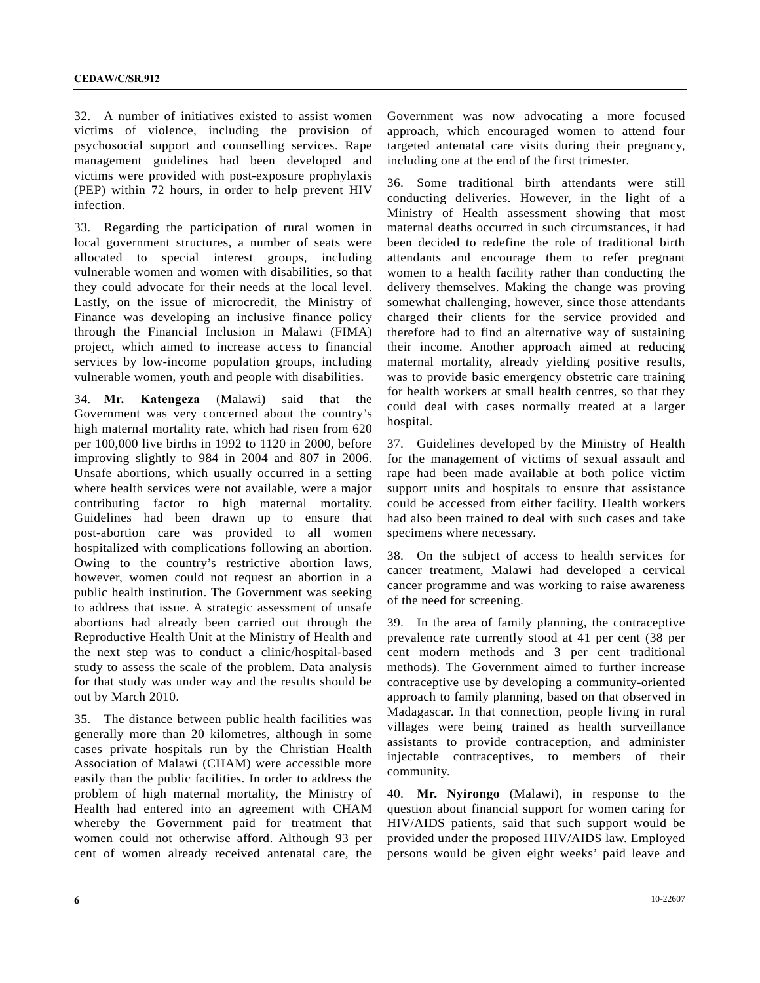32. A number of initiatives existed to assist women victims of violence, including the provision of psychosocial support and counselling services. Rape management guidelines had been developed and victims were provided with post-exposure prophylaxis (PEP) within 72 hours, in order to help prevent HIV infection.

33. Regarding the participation of rural women in local government structures, a number of seats were allocated to special interest groups, including vulnerable women and women with disabilities, so that they could advocate for their needs at the local level. Lastly, on the issue of microcredit, the Ministry of Finance was developing an inclusive finance policy through the Financial Inclusion in Malawi (FIMA) project, which aimed to increase access to financial services by low-income population groups, including vulnerable women, youth and people with disabilities.

34. **Mr. Katengeza** (Malawi) said that the Government was very concerned about the country's high maternal mortality rate, which had risen from 620 per 100,000 live births in 1992 to 1120 in 2000, before improving slightly to 984 in 2004 and 807 in 2006. Unsafe abortions, which usually occurred in a setting where health services were not available, were a major contributing factor to high maternal mortality. Guidelines had been drawn up to ensure that post-abortion care was provided to all women hospitalized with complications following an abortion. Owing to the country's restrictive abortion laws, however, women could not request an abortion in a public health institution. The Government was seeking to address that issue. A strategic assessment of unsafe abortions had already been carried out through the Reproductive Health Unit at the Ministry of Health and the next step was to conduct a clinic/hospital-based study to assess the scale of the problem. Data analysis for that study was under way and the results should be out by March 2010.

35. The distance between public health facilities was generally more than 20 kilometres, although in some cases private hospitals run by the Christian Health Association of Malawi (CHAM) were accessible more easily than the public facilities. In order to address the problem of high maternal mortality, the Ministry of Health had entered into an agreement with CHAM whereby the Government paid for treatment that women could not otherwise afford. Although 93 per cent of women already received antenatal care, the

Government was now advocating a more focused approach, which encouraged women to attend four targeted antenatal care visits during their pregnancy, including one at the end of the first trimester.

36. Some traditional birth attendants were still conducting deliveries. However, in the light of a Ministry of Health assessment showing that most maternal deaths occurred in such circumstances, it had been decided to redefine the role of traditional birth attendants and encourage them to refer pregnant women to a health facility rather than conducting the delivery themselves. Making the change was proving somewhat challenging, however, since those attendants charged their clients for the service provided and therefore had to find an alternative way of sustaining their income. Another approach aimed at reducing maternal mortality, already yielding positive results, was to provide basic emergency obstetric care training for health workers at small health centres, so that they could deal with cases normally treated at a larger hospital.

37. Guidelines developed by the Ministry of Health for the management of victims of sexual assault and rape had been made available at both police victim support units and hospitals to ensure that assistance could be accessed from either facility. Health workers had also been trained to deal with such cases and take specimens where necessary.

38. On the subject of access to health services for cancer treatment, Malawi had developed a cervical cancer programme and was working to raise awareness of the need for screening.

39. In the area of family planning, the contraceptive prevalence rate currently stood at 41 per cent (38 per cent modern methods and 3 per cent traditional methods). The Government aimed to further increase contraceptive use by developing a community-oriented approach to family planning, based on that observed in Madagascar. In that connection, people living in rural villages were being trained as health surveillance assistants to provide contraception, and administer injectable contraceptives, to members of their community.

40. **Mr. Nyirongo** (Malawi), in response to the question about financial support for women caring for HIV/AIDS patients, said that such support would be provided under the proposed HIV/AIDS law. Employed persons would be given eight weeks' paid leave and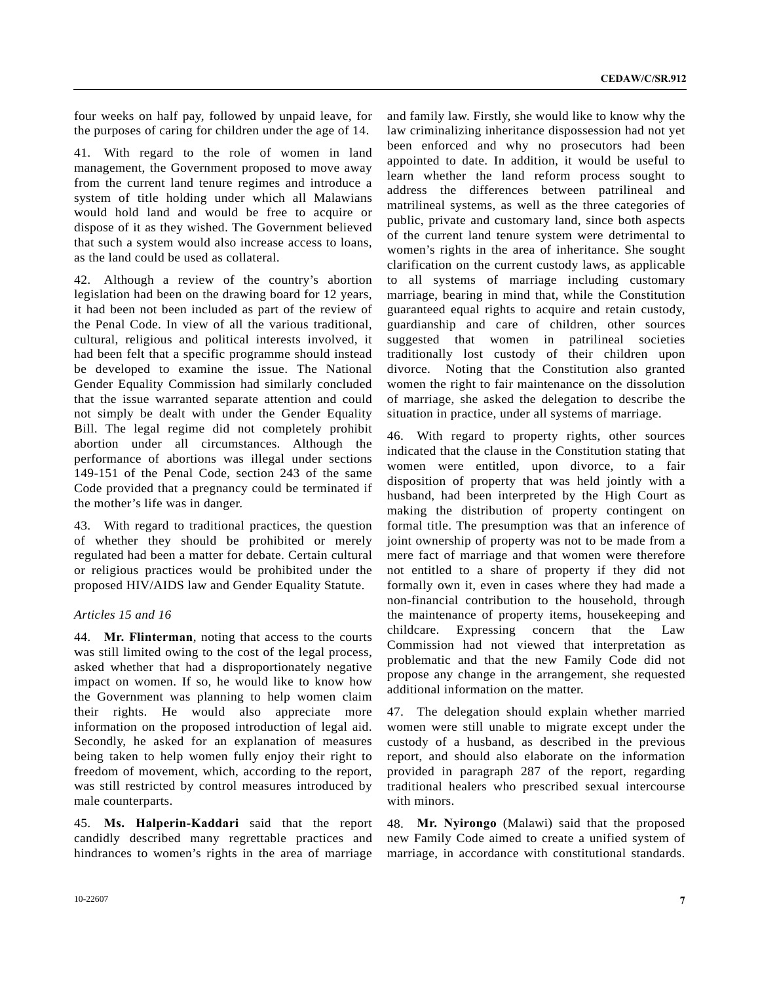four weeks on half pay, followed by unpaid leave, for the purposes of caring for children under the age of 14.

41. With regard to the role of women in land management, the Government proposed to move away from the current land tenure regimes and introduce a system of title holding under which all Malawians would hold land and would be free to acquire or dispose of it as they wished. The Government believed that such a system would also increase access to loans, as the land could be used as collateral.

42. Although a review of the country's abortion legislation had been on the drawing board for 12 years, it had been not been included as part of the review of the Penal Code. In view of all the various traditional, cultural, religious and political interests involved, it had been felt that a specific programme should instead be developed to examine the issue. The National Gender Equality Commission had similarly concluded that the issue warranted separate attention and could not simply be dealt with under the Gender Equality Bill. The legal regime did not completely prohibit abortion under all circumstances. Although the performance of abortions was illegal under sections 149-151 of the Penal Code, section 243 of the same Code provided that a pregnancy could be terminated if the mother's life was in danger.

43. With regard to traditional practices, the question of whether they should be prohibited or merely regulated had been a matter for debate. Certain cultural or religious practices would be prohibited under the proposed HIV/AIDS law and Gender Equality Statute.

#### *Articles 15 and 16*

44. **Mr. Flinterman**, noting that access to the courts was still limited owing to the cost of the legal process, asked whether that had a disproportionately negative impact on women. If so, he would like to know how the Government was planning to help women claim their rights. He would also appreciate more information on the proposed introduction of legal aid. Secondly, he asked for an explanation of measures being taken to help women fully enjoy their right to freedom of movement, which, according to the report, was still restricted by control measures introduced by male counterparts.

45. **Ms. Halperin-Kaddari** said that the report candidly described many regrettable practices and hindrances to women's rights in the area of marriage

and family law. Firstly, she would like to know why the law criminalizing inheritance dispossession had not yet been enforced and why no prosecutors had been appointed to date. In addition, it would be useful to learn whether the land reform process sought to address the differences between patrilineal and matrilineal systems, as well as the three categories of public, private and customary land, since both aspects of the current land tenure system were detrimental to women's rights in the area of inheritance. She sought clarification on the current custody laws, as applicable to all systems of marriage including customary marriage, bearing in mind that, while the Constitution guaranteed equal rights to acquire and retain custody, guardianship and care of children, other sources suggested that women in patrilineal societies traditionally lost custody of their children upon divorce. Noting that the Constitution also granted women the right to fair maintenance on the dissolution of marriage, she asked the delegation to describe the situation in practice, under all systems of marriage.

46. With regard to property rights, other sources indicated that the clause in the Constitution stating that women were entitled, upon divorce, to a fair disposition of property that was held jointly with a husband, had been interpreted by the High Court as making the distribution of property contingent on formal title. The presumption was that an inference of joint ownership of property was not to be made from a mere fact of marriage and that women were therefore not entitled to a share of property if they did not formally own it, even in cases where they had made a non-financial contribution to the household, through the maintenance of property items, housekeeping and childcare. Expressing concern that the Law Commission had not viewed that interpretation as problematic and that the new Family Code did not propose any change in the arrangement, she requested additional information on the matter.

47. The delegation should explain whether married women were still unable to migrate except under the custody of a husband, as described in the previous report, and should also elaborate on the information provided in paragraph 287 of the report, regarding traditional healers who prescribed sexual intercourse with minors.

48. **Mr. Nyirongo** (Malawi) said that the proposed new Family Code aimed to create a unified system of marriage, in accordance with constitutional standards.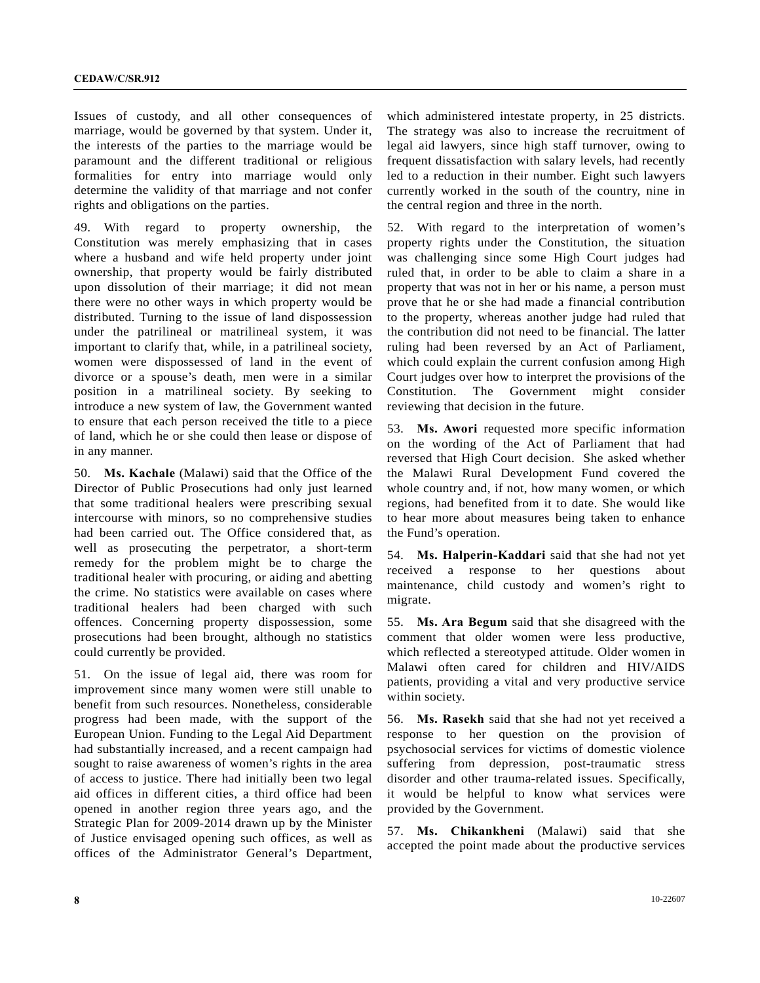Issues of custody, and all other consequences of marriage, would be governed by that system. Under it, the interests of the parties to the marriage would be paramount and the different traditional or religious formalities for entry into marriage would only determine the validity of that marriage and not confer rights and obligations on the parties.

49. With regard to property ownership, the Constitution was merely emphasizing that in cases where a husband and wife held property under joint ownership, that property would be fairly distributed upon dissolution of their marriage; it did not mean there were no other ways in which property would be distributed. Turning to the issue of land dispossession under the patrilineal or matrilineal system, it was important to clarify that, while, in a patrilineal society, women were dispossessed of land in the event of divorce or a spouse's death, men were in a similar position in a matrilineal society. By seeking to introduce a new system of law, the Government wanted to ensure that each person received the title to a piece of land, which he or she could then lease or dispose of in any manner.

50. **Ms. Kachale** (Malawi) said that the Office of the Director of Public Prosecutions had only just learned that some traditional healers were prescribing sexual intercourse with minors, so no comprehensive studies had been carried out. The Office considered that, as well as prosecuting the perpetrator, a short-term remedy for the problem might be to charge the traditional healer with procuring, or aiding and abetting the crime. No statistics were available on cases where traditional healers had been charged with such offences. Concerning property dispossession, some prosecutions had been brought, although no statistics could currently be provided.

51. On the issue of legal aid, there was room for improvement since many women were still unable to benefit from such resources. Nonetheless, considerable progress had been made, with the support of the European Union. Funding to the Legal Aid Department had substantially increased, and a recent campaign had sought to raise awareness of women's rights in the area of access to justice. There had initially been two legal aid offices in different cities, a third office had been opened in another region three years ago, and the Strategic Plan for 2009-2014 drawn up by the Minister of Justice envisaged opening such offices, as well as offices of the Administrator General's Department,

which administered intestate property, in 25 districts. The strategy was also to increase the recruitment of legal aid lawyers, since high staff turnover, owing to frequent dissatisfaction with salary levels, had recently led to a reduction in their number. Eight such lawyers currently worked in the south of the country, nine in the central region and three in the north.

52. With regard to the interpretation of women's property rights under the Constitution, the situation was challenging since some High Court judges had ruled that, in order to be able to claim a share in a property that was not in her or his name, a person must prove that he or she had made a financial contribution to the property, whereas another judge had ruled that the contribution did not need to be financial. The latter ruling had been reversed by an Act of Parliament, which could explain the current confusion among High Court judges over how to interpret the provisions of the Constitution. The Government might consider reviewing that decision in the future.

53. **Ms. Awori** requested more specific information on the wording of the Act of Parliament that had reversed that High Court decision. She asked whether the Malawi Rural Development Fund covered the whole country and, if not, how many women, or which regions, had benefited from it to date. She would like to hear more about measures being taken to enhance the Fund's operation.

54. **Ms. Halperin-Kaddari** said that she had not yet received a response to her questions about maintenance, child custody and women's right to migrate.

55. **Ms. Ara Begum** said that she disagreed with the comment that older women were less productive, which reflected a stereotyped attitude. Older women in Malawi often cared for children and HIV/AIDS patients, providing a vital and very productive service within society.

56. **Ms. Rasekh** said that she had not yet received a response to her question on the provision of psychosocial services for victims of domestic violence suffering from depression, post-traumatic stress disorder and other trauma-related issues. Specifically, it would be helpful to know what services were provided by the Government.

57. **Ms. Chikankheni** (Malawi) said that she accepted the point made about the productive services